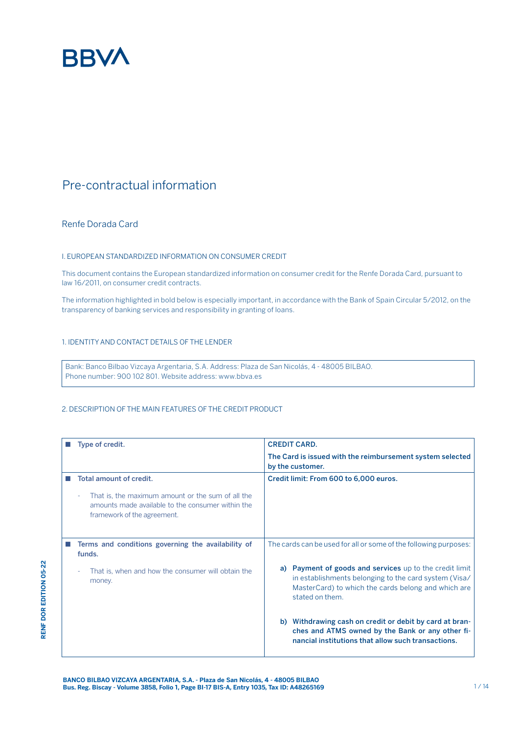

# Pre-contractual information

# Renfe Dorada Card

**RENF DOR EDITION 05-22**

**RENF DOR EDITION 05-22** 

## I. EUROPEAN STANDARDIZED INFORMATION ON CONSUMER CREDIT

This document contains the European standardized information on consumer credit for the Renfe Dorada Card, pursuant to law 16/2011, on consumer credit contracts.

The information highlighted in bold below is especially important, in accordance with the Bank of Spain Circular 5/2012, on the transparency of banking services and responsibility in granting of loans.

# 1. IDENTITY AND CONTACT DETAILS OF THE LENDER

Bank: Banco Bilbao Vizcaya Argentaria, S.A. Address: Plaza de San Nicolás, 4 - 48005 BILBAO. Phone number: 900 102 801. Website address: www.bbva.es

## 2. DESCRIPTION OF THE MAIN FEATURES OF THE CREDIT PRODUCT

| Type of credit.                                                                                                                            | <b>CREDIT CARD.</b>                                                                                                                                                                        |  |
|--------------------------------------------------------------------------------------------------------------------------------------------|--------------------------------------------------------------------------------------------------------------------------------------------------------------------------------------------|--|
|                                                                                                                                            | The Card is issued with the reimbursement system selected<br>by the customer.                                                                                                              |  |
| Total amount of credit.                                                                                                                    | Credit limit: From 600 to 6,000 euros.                                                                                                                                                     |  |
| That is, the maximum amount or the sum of all the<br>٠<br>amounts made available to the consumer within the<br>framework of the agreement. |                                                                                                                                                                                            |  |
| Terms and conditions governing the availability of<br>funds.                                                                               | The cards can be used for all or some of the following purposes:                                                                                                                           |  |
| That is, when and how the consumer will obtain the<br>money.                                                                               | a) Payment of goods and services up to the credit limit<br>in establishments belonging to the card system (Visa/<br>MasterCard) to which the cards belong and which are<br>stated on them. |  |
|                                                                                                                                            | b) Withdrawing cash on credit or debit by card at bran-<br>ches and ATMS owned by the Bank or any other fi-<br>nancial institutions that allow such transactions.                          |  |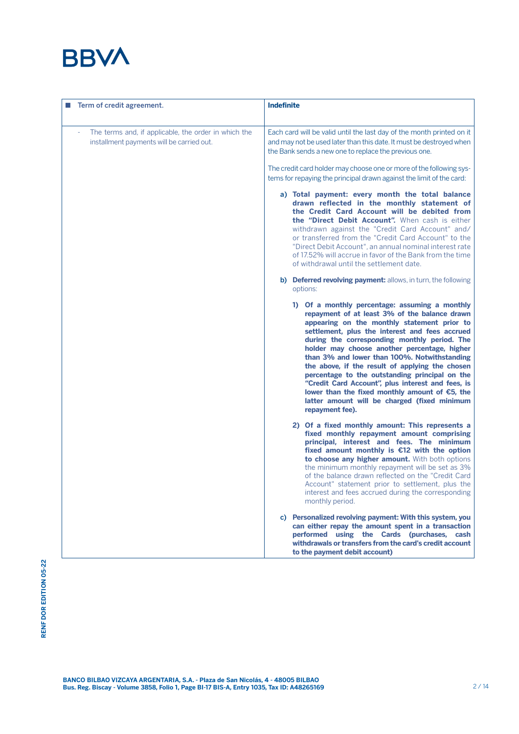# **BBVA**

| Term of credit agreement.                                                                         | <b>Indefinite</b>                                                                                                                                                                                                                                                                                                                                                                                                                                                                                                                                                                                                                  |  |  |
|---------------------------------------------------------------------------------------------------|------------------------------------------------------------------------------------------------------------------------------------------------------------------------------------------------------------------------------------------------------------------------------------------------------------------------------------------------------------------------------------------------------------------------------------------------------------------------------------------------------------------------------------------------------------------------------------------------------------------------------------|--|--|
| The terms and, if applicable, the order in which the<br>installment payments will be carried out. | Each card will be valid until the last day of the month printed on it<br>and may not be used later than this date. It must be destroyed when<br>the Bank sends a new one to replace the previous one.                                                                                                                                                                                                                                                                                                                                                                                                                              |  |  |
|                                                                                                   | The credit card holder may choose one or more of the following sys-<br>tems for repaying the principal drawn against the limit of the card:                                                                                                                                                                                                                                                                                                                                                                                                                                                                                        |  |  |
|                                                                                                   | a) Total payment: every month the total balance<br>drawn reflected in the monthly statement of<br>the Credit Card Account will be debited from<br>the "Direct Debit Account". When cash is either<br>withdrawn against the "Credit Card Account" and/<br>or transferred from the "Credit Card Account" to the<br>"Direct Debit Account", an annual nominal interest rate<br>of 17.52% will accrue in favor of the Bank from the time<br>of withdrawal until the settlement date.                                                                                                                                                   |  |  |
|                                                                                                   | b) Deferred revolving payment: allows, in turn, the following<br>options:                                                                                                                                                                                                                                                                                                                                                                                                                                                                                                                                                          |  |  |
|                                                                                                   | 1) Of a monthly percentage: assuming a monthly<br>repayment of at least 3% of the balance drawn<br>appearing on the monthly statement prior to<br>settlement, plus the interest and fees accrued<br>during the corresponding monthly period. The<br>holder may choose another percentage, higher<br>than 3% and lower than 100%. Notwithstanding<br>the above, if the result of applying the chosen<br>percentage to the outstanding principal on the<br>"Credit Card Account", plus interest and fees, is<br>lower than the fixed monthly amount of $£5$ , the<br>latter amount will be charged (fixed minimum<br>repayment fee). |  |  |
|                                                                                                   | 2) Of a fixed monthly amount: This represents a<br>fixed monthly repayment amount comprising<br>principal, interest and fees. The minimum<br>fixed amount monthly is $E12$ with the option<br>to choose any higher amount. With both options<br>the minimum monthly repayment will be set as 3%<br>of the balance drawn reflected on the "Credit Card"<br>Account" statement prior to settlement, plus the<br>interest and fees accrued during the corresponding<br>monthly period.                                                                                                                                                |  |  |
|                                                                                                   | c) Personalized revolving payment: With this system, you<br>can either repay the amount spent in a transaction<br>performed using the Cards (purchases, cash<br>withdrawals or transfers from the card's credit account<br>to the payment debit account)                                                                                                                                                                                                                                                                                                                                                                           |  |  |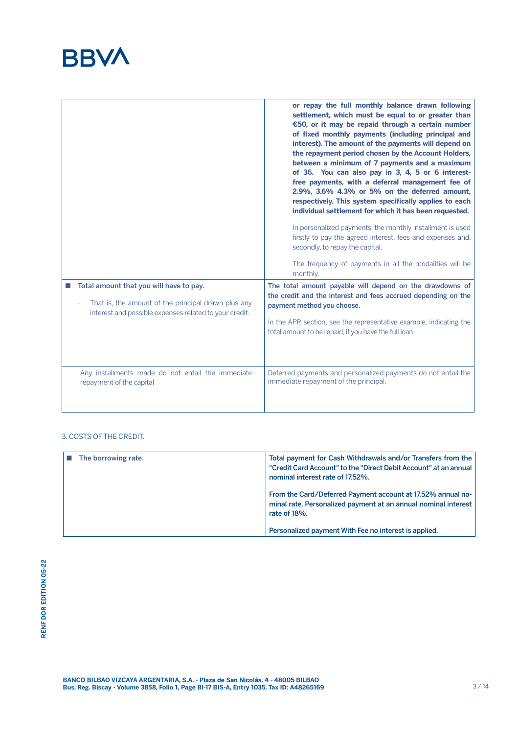

|                                                                                                               | or repay the full monthly balance drawn following<br>settlement, which must be equal to or greater than<br>€50, or it may be repaid through a certain number<br>of fixed monthly payments (including principal and<br>interest). The amount of the payments will depend on<br>the repayment period chosen by the Account Holders,<br>between a minimum of 7 payments and a maximum<br>of 36. You can also pay in 3, 4, 5 or 6 interest-<br>free payments, with a deferral management fee of<br>2.9%, 3.6% 4.3% or 5% on the deferred amount,<br>respectively. This system specifically applies to each<br>individual settlement for which it has been requested.<br>In personalized payments, the monthly installment is used<br>firstly to pay the agreed interest, fees and expenses and,<br>secondly, to repay the capital.<br>The frequency of payments in all the modalities will be |
|---------------------------------------------------------------------------------------------------------------|-------------------------------------------------------------------------------------------------------------------------------------------------------------------------------------------------------------------------------------------------------------------------------------------------------------------------------------------------------------------------------------------------------------------------------------------------------------------------------------------------------------------------------------------------------------------------------------------------------------------------------------------------------------------------------------------------------------------------------------------------------------------------------------------------------------------------------------------------------------------------------------------|
| Total amount that you will have to pay.                                                                       | monthly.<br>The total amount payable will depend on the drawdowns of                                                                                                                                                                                                                                                                                                                                                                                                                                                                                                                                                                                                                                                                                                                                                                                                                      |
| That is, the amount of the principal drawn plus any<br>interest and possible expenses related to your credit. | the credit and the interest and fees accrued depending on the<br>payment method you choose.<br>In the APR section, see the representative example, indicating the<br>total amount to be repaid, if you have the full loan.                                                                                                                                                                                                                                                                                                                                                                                                                                                                                                                                                                                                                                                                |
| Any installments made do not entail the immediate<br>repayment of the capital                                 | Deferred payments and personalized payments do not entail the<br>immediate repayment of the principal.                                                                                                                                                                                                                                                                                                                                                                                                                                                                                                                                                                                                                                                                                                                                                                                    |

# 3. COSTS OF THE CREDIT.

| The borrowing rate. | Total payment for Cash Withdrawals and/or Transfers from the<br>"Credit Card Account" to the "Direct Debit Account" at an annual<br>nominal interest rate of 17.52%. |
|---------------------|----------------------------------------------------------------------------------------------------------------------------------------------------------------------|
|                     | From the Card/Deferred Payment account at 17.52% annual no-<br>minal rate. Personalized payment at an annual nominal interest<br>rate of 18%.                        |
|                     | Personalized payment With Fee no interest is applied.                                                                                                                |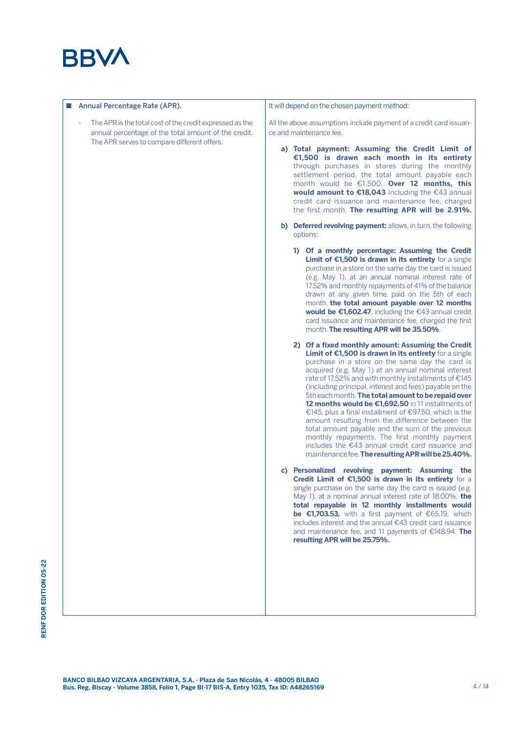

Annual Percentage Rate (APR). The APR is the total cost of the credit expressed as the annual percentage of the total amount of the credit. The APR serves to compare different offers. It will depend on the chosen payment method: All the above assumptions include payment of a credit card issuance and maintenance fee. a) **Total payment: Assuming the Credit Limit of €1,500 is drawn each month in its entirety**  through purchases in stores during the monthly settlement period, the total amount payable each month would be €1,500. **Over 12 months, this would amount to €18,043** including the €43 annual credit card issuance and maintenance fee, charged the first month. **The resulting APR will be 2.91%.** b) **Deferred revolving payment:** allows, in turn, the following options: **1) Of a monthly percentage: Assuming the Credit Limit of €1,500 is drawn in its entirety** for a single purchase in a store on the same day the card is issued (e.g. May 1), at an annual nominal interest rate of 17.52% and monthly repayments of 41% of the balance drawn at any given time, paid on the 5th of each month, **the total amount payable over 12 months would be €1,602.47**, including the €43 annual credit card issuance and maintenance fee, charged the first month. **The resulting APR will be 35.50%**. **2) Of a fixed monthly amount: Assuming the Credit Limit of €1,500 is drawn in its entirety** for a single purchase in a store on the same day the card is acquired (e.g. May 1) at an annual nominal interest rate of 17.52% and with monthly installments of €145 (including principal, interest and fees) payable on the 5th each month. **The total amount to be repaid over 12 months would be €1,692.50** in 11 installments of €145, plus a final installment of €97.50, which is the amount resulting from the difference between the total amount payable and the sum of the previous monthly repayments. The first monthly payment includes the €43 annual credit card issuance and maintenance fee. **The resulting APR will be 25.40%.** c) **Personalized revolving payment: Assuming the Credit Limit of €1,500 is drawn in its entirety** for a single purchase on the same day the card is issued (e.g. May 1), at a nominal annual interest rate of 18.00%, **the total repayable in 12 monthly installments would be €1,703.53,** with a first payment of €65.19, which includes interest and the annual €43 credit card issuance and maintenance fee, and 11 payments of €148.94. **The resulting APR will be 25.75%.**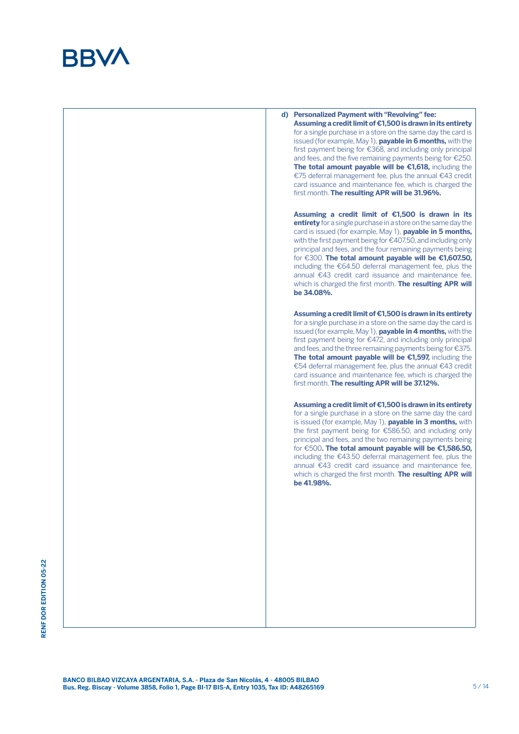



RENF DOR EDITION 05-22 **RENF DOR EDITION 05-22**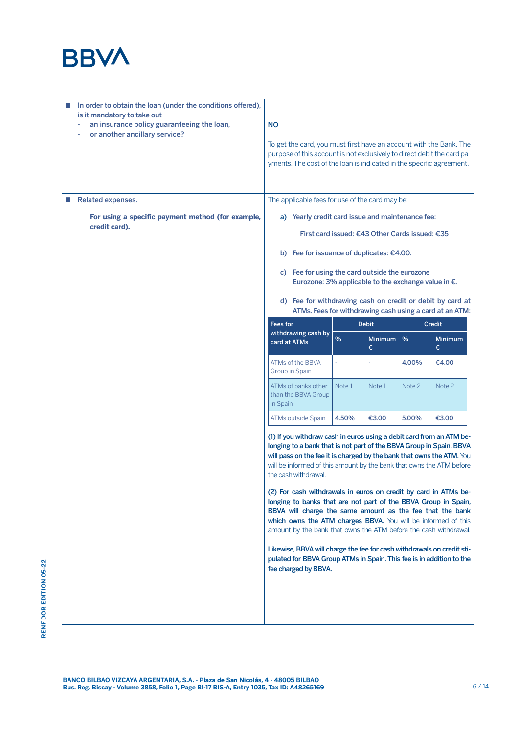

|   | In order to obtain the loan (under the conditions offered),<br>is it mandatory to take out<br>an insurance policy guaranteeing the loan,<br>or another ancillary service? | <b>NO</b>                                                                                                                                                                                                                                                                                                                           | To get the card, you must first have an account with the Bank. The<br>purpose of this account is not exclusively to direct debit the card pa-<br>yments. The cost of the loan is indicated in the specific agreement.                                                                                                |               |                                                |        |                     |
|---|---------------------------------------------------------------------------------------------------------------------------------------------------------------------------|-------------------------------------------------------------------------------------------------------------------------------------------------------------------------------------------------------------------------------------------------------------------------------------------------------------------------------------|----------------------------------------------------------------------------------------------------------------------------------------------------------------------------------------------------------------------------------------------------------------------------------------------------------------------|---------------|------------------------------------------------|--------|---------------------|
| ш | Related expenses.                                                                                                                                                         |                                                                                                                                                                                                                                                                                                                                     | The applicable fees for use of the card may be:                                                                                                                                                                                                                                                                      |               |                                                |        |                     |
|   | For using a specific payment method (for example,                                                                                                                         |                                                                                                                                                                                                                                                                                                                                     | a) Yearly credit card issue and maintenance fee:                                                                                                                                                                                                                                                                     |               |                                                |        |                     |
|   | credit card).                                                                                                                                                             |                                                                                                                                                                                                                                                                                                                                     |                                                                                                                                                                                                                                                                                                                      |               | First card issued: €43 Other Cards issued: €35 |        |                     |
|   |                                                                                                                                                                           |                                                                                                                                                                                                                                                                                                                                     | b) Fee for issuance of duplicates: €4.00.                                                                                                                                                                                                                                                                            |               |                                                |        |                     |
|   |                                                                                                                                                                           | c) Fee for using the card outside the eurozone<br>Eurozone: 3% applicable to the exchange value in $\epsilon$ .                                                                                                                                                                                                                     |                                                                                                                                                                                                                                                                                                                      |               |                                                |        |                     |
|   |                                                                                                                                                                           |                                                                                                                                                                                                                                                                                                                                     | d) Fee for withdrawing cash on credit or debit by card at<br>ATMs. Fees for withdrawing cash using a card at an ATM:                                                                                                                                                                                                 |               |                                                |        |                     |
|   |                                                                                                                                                                           | <b>Fees for</b>                                                                                                                                                                                                                                                                                                                     | withdrawing cash by                                                                                                                                                                                                                                                                                                  |               | <b>Debit</b>                                   |        | <b>Credit</b>       |
|   |                                                                                                                                                                           | card at ATMs                                                                                                                                                                                                                                                                                                                        |                                                                                                                                                                                                                                                                                                                      | $\frac{9}{6}$ | Minimum $\frac{1}{6}$<br>€                     |        | <b>Minimum</b><br>€ |
|   |                                                                                                                                                                           |                                                                                                                                                                                                                                                                                                                                     | ATMs of the BBVA<br>Group in Spain                                                                                                                                                                                                                                                                                   |               |                                                | 4.00%  | €4.00               |
|   |                                                                                                                                                                           | in Spain                                                                                                                                                                                                                                                                                                                            | ATMs of banks other<br>than the BBVA Group                                                                                                                                                                                                                                                                           | Note 1        | Note 1                                         | Note 2 | Note 2              |
|   |                                                                                                                                                                           |                                                                                                                                                                                                                                                                                                                                     | ATMs outside Spain                                                                                                                                                                                                                                                                                                   | 4.50%         | €3.00                                          | 5.00%  | €3.00               |
|   |                                                                                                                                                                           |                                                                                                                                                                                                                                                                                                                                     | (1) If you withdraw cash in euros using a debit card from an ATM be-<br>longing to a bank that is not part of the BBVA Group in Spain, BBVA<br>will pass on the fee it is charged by the bank that owns the ATM. You<br>will be informed of this amount by the bank that owns the ATM before<br>the cash withdrawal. |               |                                                |        |                     |
|   |                                                                                                                                                                           | (2) For cash withdrawals in euros on credit by card in ATMs be-<br>longing to banks that are not part of the BBVA Group in Spain,<br>BBVA will charge the same amount as the fee that the bank<br>which owns the ATM charges BBVA. You will be informed of this<br>amount by the bank that owns the ATM before the cash withdrawal. |                                                                                                                                                                                                                                                                                                                      |               |                                                |        |                     |
|   |                                                                                                                                                                           |                                                                                                                                                                                                                                                                                                                                     | Likewise, BBVA will charge the fee for cash withdrawals on credit sti-<br>pulated for BBVA Group ATMs in Spain. This fee is in addition to the<br>fee charged by BBVA.                                                                                                                                               |               |                                                |        |                     |
|   |                                                                                                                                                                           |                                                                                                                                                                                                                                                                                                                                     |                                                                                                                                                                                                                                                                                                                      |               |                                                |        |                     |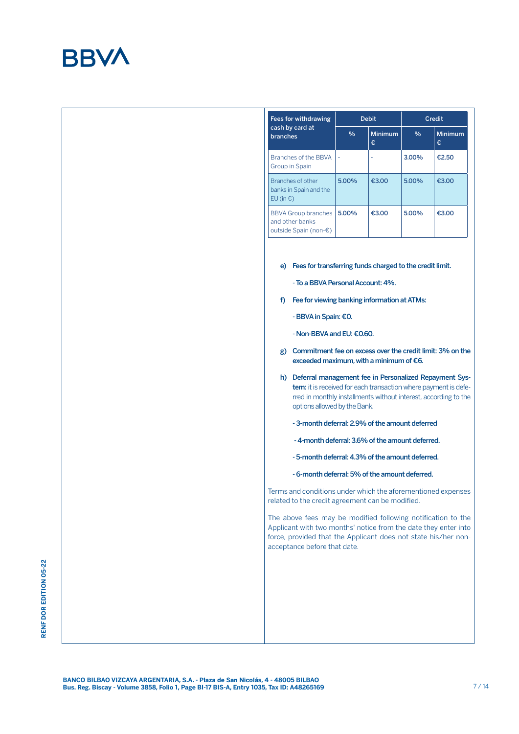

| Fees for withdrawing                                                   |               | <b>Debit</b>        | <b>Credit</b> |                     |  |
|------------------------------------------------------------------------|---------------|---------------------|---------------|---------------------|--|
| cash by card at<br>branches                                            | $\frac{0}{0}$ | <b>Minimum</b><br>€ | $\frac{0}{0}$ | <b>Minimum</b><br>€ |  |
| Branches of the BBVA<br><b>Group in Spain</b>                          |               |                     | 3.00%         | €2.50               |  |
| Branches of other<br>banks in Spain and the<br>EU (in €)               | 5.00%         | €3.00               | 5.00%         | €3.00               |  |
| <b>BBVA Group branches</b><br>and other banks<br>outside Spain (non-€) | 5.00%         | €3.00               | 5.00%         | €3.00               |  |

e) Fees for transferring funds charged to the credit limit.

- To a BBVA Personal Account: 4%.

- f) Fee for viewing banking information at ATMs:
	- BBVA in Spain: €0.
	- Non-BBVA and EU: €0.60.
- g) Commitment fee on excess over the credit limit: 3% on the exceeded maximum, with a minimum of €6.
- h) Deferral management fee in Personalized Repayment System: it is received for each transaction where payment is deferred in monthly installments without interest, according to the options allowed by the Bank.
	- 3-month deferral: 2.9% of the amount deferred
	- 4-month deferral: 3.6% of the amount deferred.
	- 5-month deferral: 4.3% of the amount deferred.
	- 6-month deferral: 5% of the amount deferred.

Terms and conditions under which the aforementioned expenses related to the credit agreement can be modified.

The above fees may be modified following notification to the Applicant with two months' notice from the date they enter into force, provided that the Applicant does not state his/her nonacceptance before that date.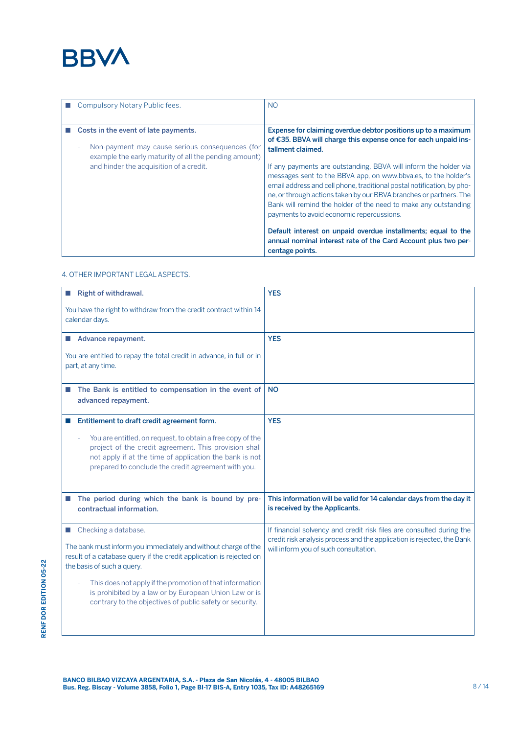

| Compulsory Notary Public fees.                                                                                                                                                                   | <b>NO</b>                                                                                                                                                                                                                                                                                                                                                                                                                                                                                                                                                                                                                                                                                                         |
|--------------------------------------------------------------------------------------------------------------------------------------------------------------------------------------------------|-------------------------------------------------------------------------------------------------------------------------------------------------------------------------------------------------------------------------------------------------------------------------------------------------------------------------------------------------------------------------------------------------------------------------------------------------------------------------------------------------------------------------------------------------------------------------------------------------------------------------------------------------------------------------------------------------------------------|
| Costs in the event of late payments.<br>Non-payment may cause serious consequences (for<br>٠<br>example the early maturity of all the pending amount)<br>and hinder the acquisition of a credit. | Expense for claiming overdue debtor positions up to a maximum<br>of €35. BBVA will charge this expense once for each unpaid ins-<br>tallment claimed.<br>If any payments are outstanding, BBVA will inform the holder via<br>messages sent to the BBVA app, on www.bbva.es, to the holder's<br>email address and cell phone, traditional postal notification, by pho-<br>ne, or through actions taken by our BBVA branches or partners. The<br>Bank will remind the holder of the need to make any outstanding<br>payments to avoid economic repercussions.<br>Default interest on unpaid overdue installments; equal to the<br>annual nominal interest rate of the Card Account plus two per-<br>centage points. |

# 4. OTHER IMPORTANT LEGAL ASPECTS.

**RENF DOR EDITION 05-22**

RENF DOR EDITION 05-22

| Right of withdrawal.                                                                                                                                                                                                                                                                                                                                                         | <b>YES</b>                                                                                                                                                                              |
|------------------------------------------------------------------------------------------------------------------------------------------------------------------------------------------------------------------------------------------------------------------------------------------------------------------------------------------------------------------------------|-----------------------------------------------------------------------------------------------------------------------------------------------------------------------------------------|
| You have the right to withdraw from the credit contract within 14<br>calendar days.                                                                                                                                                                                                                                                                                          |                                                                                                                                                                                         |
| Advance repayment.                                                                                                                                                                                                                                                                                                                                                           | <b>YES</b>                                                                                                                                                                              |
| You are entitled to repay the total credit in advance, in full or in<br>part, at any time.                                                                                                                                                                                                                                                                                   |                                                                                                                                                                                         |
| The Bank is entitled to compensation in the event of<br>advanced repayment.                                                                                                                                                                                                                                                                                                  | <b>NO</b>                                                                                                                                                                               |
| Entitlement to draft credit agreement form.                                                                                                                                                                                                                                                                                                                                  | <b>YES</b>                                                                                                                                                                              |
| You are entitled, on request, to obtain a free copy of the<br>project of the credit agreement. This provision shall<br>not apply if at the time of application the bank is not<br>prepared to conclude the credit agreement with you.                                                                                                                                        |                                                                                                                                                                                         |
| The period during which the bank is bound by pre-<br>contractual information.                                                                                                                                                                                                                                                                                                | This information will be valid for 14 calendar days from the day it<br>is received by the Applicants.                                                                                   |
| Checking a database.<br>The bank must inform you immediately and without charge of the<br>result of a database query if the credit application is rejected on<br>the basis of such a query.<br>This does not apply if the promotion of that information<br>is prohibited by a law or by European Union Law or is<br>contrary to the objectives of public safety or security. | If financial solvency and credit risk files are consulted during the<br>credit risk analysis process and the application is rejected, the Bank<br>will inform you of such consultation. |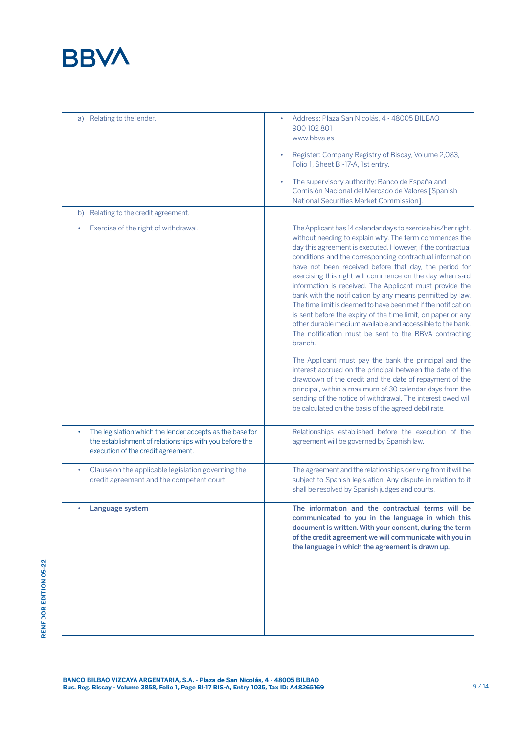

| a) Relating to the lender.                                                                                                                               | Address: Plaza San Nicolás, 4 - 48005 BILBAO<br>900 102 801<br>www.bbva.es<br>Register: Company Registry of Biscay, Volume 2,083,<br>Folio 1, Sheet BI-17-A, 1st entry.<br>The supervisory authority: Banco de España and<br>Comisión Nacional del Mercado de Valores [Spanish<br>National Securities Market Commission].                                                                                                                                                                                                                                                                                                                                                                                                                                                                                                                                                                                                                                                                                                                                                                                                               |
|----------------------------------------------------------------------------------------------------------------------------------------------------------|-----------------------------------------------------------------------------------------------------------------------------------------------------------------------------------------------------------------------------------------------------------------------------------------------------------------------------------------------------------------------------------------------------------------------------------------------------------------------------------------------------------------------------------------------------------------------------------------------------------------------------------------------------------------------------------------------------------------------------------------------------------------------------------------------------------------------------------------------------------------------------------------------------------------------------------------------------------------------------------------------------------------------------------------------------------------------------------------------------------------------------------------|
| b) Relating to the credit agreement.                                                                                                                     |                                                                                                                                                                                                                                                                                                                                                                                                                                                                                                                                                                                                                                                                                                                                                                                                                                                                                                                                                                                                                                                                                                                                         |
| Exercise of the right of withdrawal.                                                                                                                     | The Applicant has 14 calendar days to exercise his/her right,<br>without needing to explain why. The term commences the<br>day this agreement is executed. However, if the contractual<br>conditions and the corresponding contractual information<br>have not been received before that day, the period for<br>exercising this right will commence on the day when said<br>information is received. The Applicant must provide the<br>bank with the notification by any means permitted by law.<br>The time limit is deemed to have been met if the notification<br>is sent before the expiry of the time limit, on paper or any<br>other durable medium available and accessible to the bank.<br>The notification must be sent to the BBVA contracting<br>branch.<br>The Applicant must pay the bank the principal and the<br>interest accrued on the principal between the date of the<br>drawdown of the credit and the date of repayment of the<br>principal, within a maximum of 30 calendar days from the<br>sending of the notice of withdrawal. The interest owed will<br>be calculated on the basis of the agreed debit rate. |
| The legislation which the lender accepts as the base for<br>the establishment of relationships with you before the<br>execution of the credit agreement. | Relationships established before the execution of the<br>agreement will be governed by Spanish law.                                                                                                                                                                                                                                                                                                                                                                                                                                                                                                                                                                                                                                                                                                                                                                                                                                                                                                                                                                                                                                     |
| Clause on the applicable legislation governing the<br>٠<br>credit agreement and the competent court.                                                     | The agreement and the relationships deriving from it will be<br>subject to Spanish legislation. Any dispute in relation to it<br>shall be resolved by Spanish judges and courts.                                                                                                                                                                                                                                                                                                                                                                                                                                                                                                                                                                                                                                                                                                                                                                                                                                                                                                                                                        |
| Language system                                                                                                                                          | The information and the contractual terms will be<br>communicated to you in the language in which this<br>document is written. With your consent, during the term<br>of the credit agreement we will communicate with you in<br>the language in which the agreement is drawn up.                                                                                                                                                                                                                                                                                                                                                                                                                                                                                                                                                                                                                                                                                                                                                                                                                                                        |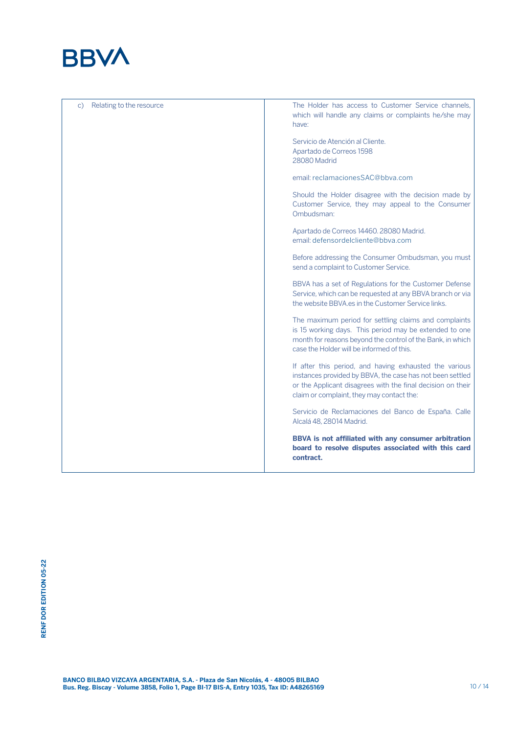

| Relating to the resource<br>C) | The Holder has access to Customer Service channels,<br>which will handle any claims or complaints he/she may<br>have:                                                                                                           |
|--------------------------------|---------------------------------------------------------------------------------------------------------------------------------------------------------------------------------------------------------------------------------|
|                                | Servicio de Atención al Cliente.<br>Apartado de Correos 1598<br>28080 Madrid                                                                                                                                                    |
|                                | email: reclamacionesSAC@bbya.com                                                                                                                                                                                                |
|                                | Should the Holder disagree with the decision made by<br>Customer Service, they may appeal to the Consumer<br>Ombudsman:                                                                                                         |
|                                | Apartado de Correos 14460. 28080 Madrid.<br>email: defensordelcliente@bbva.com                                                                                                                                                  |
|                                | Before addressing the Consumer Ombudsman, you must<br>send a complaint to Customer Service.                                                                                                                                     |
|                                | BBVA has a set of Regulations for the Customer Defense<br>Service, which can be requested at any BBVA branch or via<br>the website BBVA.es in the Customer Service links.                                                       |
|                                | The maximum period for settling claims and complaints<br>is 15 working days. This period may be extended to one<br>month for reasons beyond the control of the Bank, in which<br>case the Holder will be informed of this.      |
|                                | If after this period, and having exhausted the various<br>instances provided by BBVA, the case has not been settled<br>or the Applicant disagrees with the final decision on their<br>claim or complaint, they may contact the: |
|                                | Servicio de Reclamaciones del Banco de España. Calle<br>Alcalá 48, 28014 Madrid.                                                                                                                                                |
|                                | BBVA is not affiliated with any consumer arbitration<br>board to resolve disputes associated with this card<br>contract.                                                                                                        |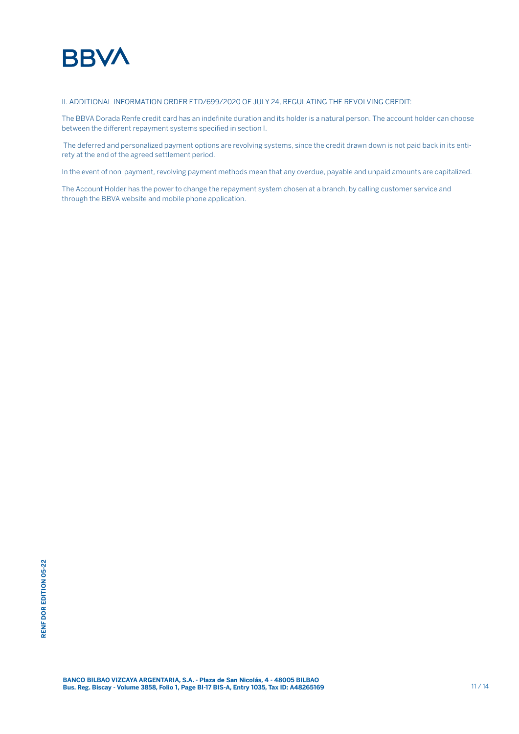

# II. ADDITIONAL INFORMATION ORDER ETD/699/2020 OF JULY 24, REGULATING THE REVOLVING CREDIT:

The BBVA Dorada Renfe credit card has an indefinite duration and its holder is a natural person. The account holder can choose between the different repayment systems specified in section I.

 The deferred and personalized payment options are revolving systems, since the credit drawn down is not paid back in its entirety at the end of the agreed settlement period.

In the event of non-payment, revolving payment methods mean that any overdue, payable and unpaid amounts are capitalized.

The Account Holder has the power to change the repayment system chosen at a branch, by calling customer service and through the BBVA website and mobile phone application.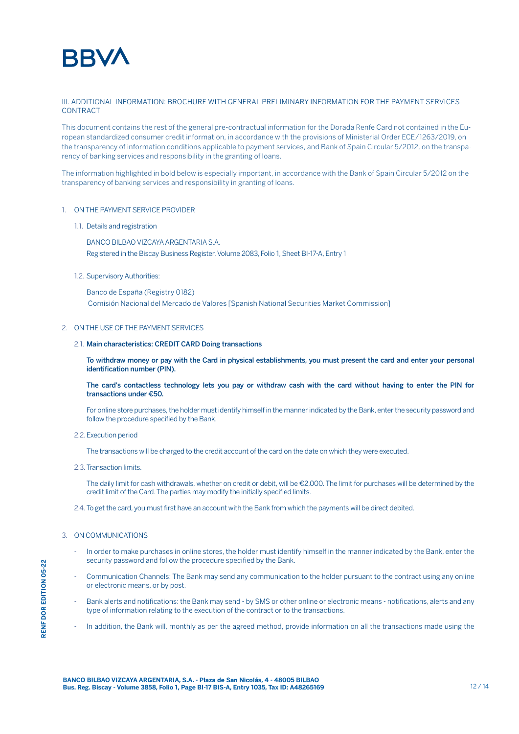

#### III. ADDITIONAL INFORMATION: BROCHURE WITH GENERAL PRELIMINARY INFORMATION FOR THE PAYMENT SERVICES **CONTRACT**

This document contains the rest of the general pre-contractual information for the Dorada Renfe Card not contained in the European standardized consumer credit information, in accordance with the provisions of Ministerial Order ECE/1263/2019, on the transparency of information conditions applicable to payment services, and Bank of Spain Circular 5/2012, on the transparency of banking services and responsibility in the granting of loans.

The information highlighted in bold below is especially important, in accordance with the Bank of Spain Circular 5/2012 on the transparency of banking services and responsibility in granting of loans.

#### 1. ON THE PAYMENT SERVICE PROVIDER

1.1. Details and registration

BANCO BILBAO VIZCAYA ARGENTARIA S.A. Registered in the Biscay Business Register, Volume 2083, Folio 1, Sheet BI-17-A, Entry 1

1.2. Supervisory Authorities:

Banco de España (Registry 0182) Comisión Nacional del Mercado de Valores [Spanish National Securities Market Commission]

#### 2. ON THE USE OF THE PAYMENT SERVICES

#### 2.1. Main characteristics: CREDIT CARD Doing transactions

**To withdraw money or pay with the Card in physical establishments, you must present the card and enter your personal identification number (PIN).** 

**The card's contactless technology lets you pay or withdraw cash with the card without having to enter the PIN for transactions under €50.**

For online store purchases, the holder must identify himself in the manner indicated by the Bank, enter the security password and follow the procedure specified by the Bank.

2.2.Execution period

The transactions will be charged to the credit account of the card on the date on which they were executed.

2.3.Transaction limits.

The daily limit for cash withdrawals, whether on credit or debit, will be €2,000. The limit for purchases will be determined by the credit limit of the Card. The parties may modify the initially specified limits.

2.4. To get the card, you must first have an account with the Bank from which the payments will be direct debited.

#### 3. ON COMMUNICATIONS

- In order to make purchases in online stores, the holder must identify himself in the manner indicated by the Bank, enter the security password and follow the procedure specified by the Bank.
- Communication Channels: The Bank may send any communication to the holder pursuant to the contract using any online or electronic means, or by post.
- Bank alerts and notifications: the Bank may send by SMS or other online or electronic means notifications, alerts and any type of information relating to the execution of the contract or to the transactions.
- In addition, the Bank will, monthly as per the agreed method, provide information on all the transactions made using the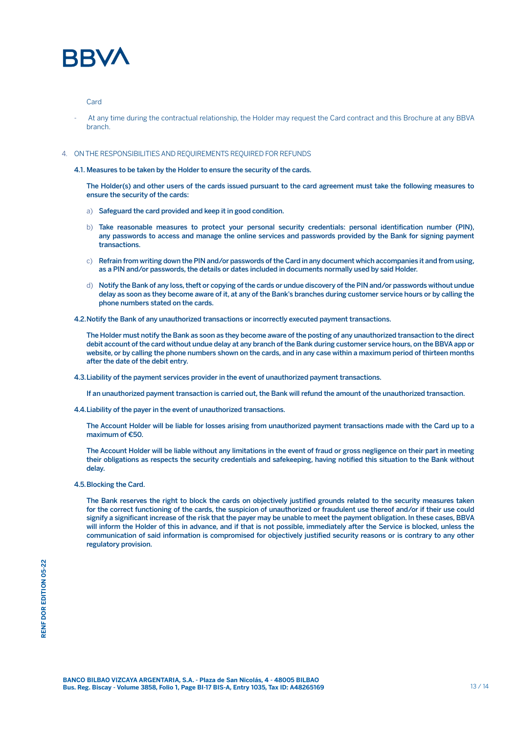

#### Card

- At any time during the contractual relationship, the Holder may request the Card contract and this Brochure at any BBVA branch.

#### 4. ON THE RESPONSIBILITIES AND REQUIREMENTS REQUIRED FOR REFUNDS

4.1. Measures to be taken by the Holder to ensure the security of the cards.

The Holder(s) and other users of the cards issued pursuant to the card agreement must take the following measures to ensure the security of the cards:

- a) Safeguard the card provided and keep it in good condition.
- b) Take reasonable measures to protect your personal security credentials: personal identification number (PIN), any passwords to access and manage the online services and passwords provided by the Bank for signing payment transactions.
- c) Refrain from writing down the PIN and/or passwords of the Card in any document which accompanies it and from using, as a PIN and/or passwords, the details or dates included in documents normally used by said Holder.
- d) Notify the Bank of any loss, theft or copying of the cards or undue discovery of the PIN and/or passwords without undue delay as soon as they become aware of it, at any of the Bank's branches during customer service hours or by calling the phone numbers stated on the cards.
- 4.2.Notify the Bank of any unauthorized transactions or incorrectly executed payment transactions.

The Holder must notify the Bank as soon as they become aware of the posting of any unauthorized transaction to the direct debit account of the card without undue delay at any branch of the Bank during customer service hours, on the BBVA app or website, or by calling the phone numbers shown on the cards, and in any case within a maximum period of thirteen months after the date of the debit entry.

4.3.Liability of the payment services provider in the event of unauthorized payment transactions.

If an unauthorized payment transaction is carried out, the Bank will refund the amount of the unauthorized transaction.

4.4.Liability of the payer in the event of unauthorized transactions.

The Account Holder will be liable for losses arising from unauthorized payment transactions made with the Card up to a maximum of €50.

The Account Holder will be liable without any limitations in the event of fraud or gross negligence on their part in meeting their obligations as respects the security credentials and safekeeping, having notified this situation to the Bank without delay.

4.5.Blocking the Card.

The Bank reserves the right to block the cards on objectively justified grounds related to the security measures taken for the correct functioning of the cards, the suspicion of unauthorized or fraudulent use thereof and/or if their use could signify a significant increase of the risk that the payer may be unable to meet the payment obligation. In these cases, BBVA will inform the Holder of this in advance, and if that is not possible, immediately after the Service is blocked, unless the communication of said information is compromised for objectively justified security reasons or is contrary to any other regulatory provision.